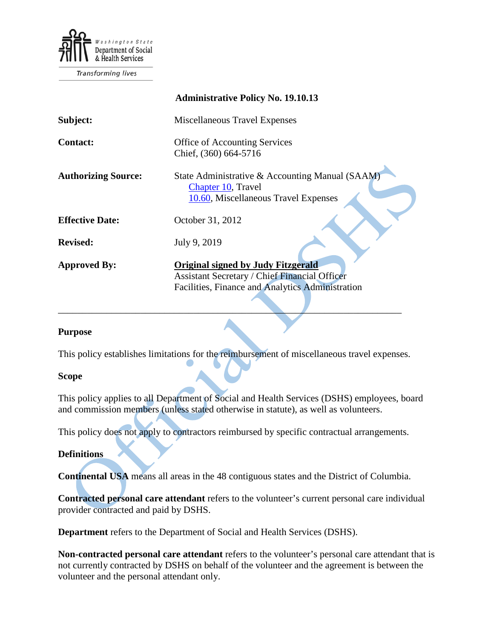

Transforming lives

|                            | <b>Administrative Policy No. 19.10.13</b>                                                                                                             |
|----------------------------|-------------------------------------------------------------------------------------------------------------------------------------------------------|
| Subject:                   | Miscellaneous Travel Expenses                                                                                                                         |
| <b>Contact:</b>            | <b>Office of Accounting Services</b><br>Chief, (360) 664-5716                                                                                         |
| <b>Authorizing Source:</b> | State Administrative & Accounting Manual (SAAM)<br>Chapter 10, Travel<br>10.60, Miscellaneous Travel Expenses                                         |
| <b>Effective Date:</b>     | October 31, 2012                                                                                                                                      |
| <b>Revised:</b>            | July 9, 2019                                                                                                                                          |
| <b>Approved By:</b>        | <b>Original signed by Judy Fitzgerald</b><br><b>Assistant Secretary / Chief Financial Officer</b><br>Facilities, Finance and Analytics Administration |

#### **Purpose**

This policy establishes limitations for the reimbursement of miscellaneous travel expenses.

 $\mathcal{L} = \{ \mathcal{L} \mid \mathcal{L} \text{ is a constant, } \mathcal{L} \}$ 

#### **Scope**

This policy applies to all Department of Social and Health Services (DSHS) employees, board and commission members (unless stated otherwise in statute), as well as volunteers.

This policy does not apply to contractors reimbursed by specific contractual arrangements.

#### **Definitions**

**Continental USA** means all areas in the 48 contiguous states and the District of Columbia.

**Contracted personal care attendant** refers to the volunteer's current personal care individual provider contracted and paid by DSHS.

**Department** refers to the Department of Social and Health Services (DSHS).

**Non-contracted personal care attendant** refers to the volunteer's personal care attendant that is not currently contracted by DSHS on behalf of the volunteer and the agreement is between the volunteer and the personal attendant only.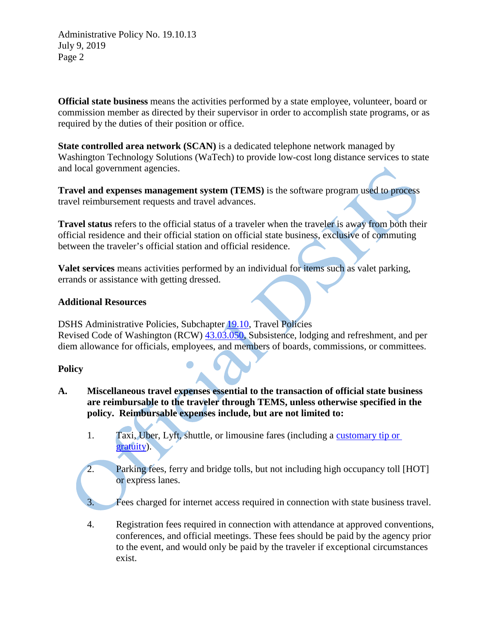Administrative Policy No. 19.10.13 July 9, 2019 Page 2

**Official state business** means the activities performed by a state employee, volunteer, board or commission member as directed by their supervisor in order to accomplish state programs, or as required by the duties of their position or office.

**State controlled area network (SCAN)** is a dedicated telephone network managed by Washington Technology Solutions (WaTech) to provide low-cost long distance services to state and local government agencies.

**Travel and expenses management system (TEMS)** is the software program used to process travel reimbursement requests and travel advances.

**Travel status** refers to the official status of a traveler when the traveler is away from both their official residence and their official station on official state business, exclusive of commuting between the traveler's official station and official residence.

**Valet services** means activities performed by an individual for items such as valet parking, errands or assistance with getting dressed.

## **Additional Resources**

DSHS Administrative Policies, Subchapter [19.10,](http://one.dshs.wa.lcl/policies/Pages/default.aspx) Travel Policies Revised Code of Washington (RCW) [43.03.050,](http://app.leg.wa.gov/RCW/default.aspx?cite=43.03.050) Subsistence, lodging and refreshment, and per diem allowance for officials, employees, and members of boards, commissions, or committees.

# **Policy**

- **A. Miscellaneous travel expenses essential to the transaction of official state business are reimbursable to the traveler through TEMS, unless otherwise specified in the policy. Reimbursable expenses include, but are not limited to:**
	- 1. Taxi, Uber, Lyft, shuttle, or limousine fares (including a [customary tip or](http://tipping.org/tips/us.html)  [gratuity\)](http://tipping.org/tips/us.html).
	- 2. Parking fees, ferry and bridge tolls, but not including high occupancy toll [HOT] or express lanes.

Fees charged for internet access required in connection with state business travel.

4. Registration fees required in connection with attendance at approved conventions, conferences, and official meetings. These fees should be paid by the agency prior to the event, and would only be paid by the traveler if exceptional circumstances exist.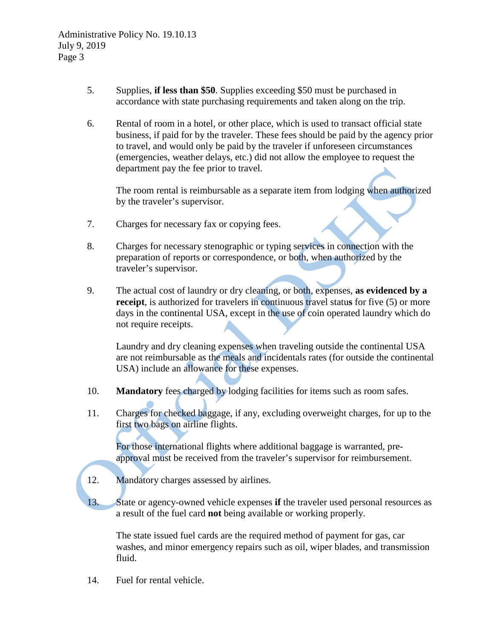- 5. Supplies, **if less than \$50**. Supplies exceeding \$50 must be purchased in accordance with state purchasing requirements and taken along on the trip.
- 6. Rental of room in a hotel, or other place, which is used to transact official state business, if paid for by the traveler. These fees should be paid by the agency prior to travel, and would only be paid by the traveler if unforeseen circumstances (emergencies, weather delays, etc.) did not allow the employee to request the department pay the fee prior to travel.

The room rental is reimbursable as a separate item from lodging when authorized by the traveler's supervisor.

- 7. Charges for necessary fax or copying fees.
- 8. Charges for necessary stenographic or typing services in connection with the preparation of reports or correspondence, or both, when authorized by the traveler's supervisor.
- 9. The actual cost of laundry or dry cleaning, or both, expenses, **as evidenced by a receipt**, is authorized for travelers in continuous travel statu**s** for five (5) or more days in the continental USA, except in the use of coin operated laundry which do not require receipts.

Laundry and dry cleaning expenses when traveling outside the continental USA are not reimbursable as the meals and incidentals rates (for outside the continental USA) include an allowance for these expenses.

- 10. **Mandatory** fees charged by lodging facilities for items such as room safes.
- 11. Charges for checked baggage, if any, excluding overweight charges, for up to the first two bags on airline flights.

For those international flights where additional baggage is warranted, preapproval must be received from the traveler's supervisor for reimbursement.

- 12. Mandatory charges assessed by airlines.
- 13. State or agency-owned vehicle expenses **if** the traveler used personal resources as a result of the fuel card **not** being available or working properly.

The state issued fuel cards are the required method of payment for gas, car washes, and minor emergency repairs such as oil, wiper blades, and transmission fluid.

14. Fuel for rental vehicle.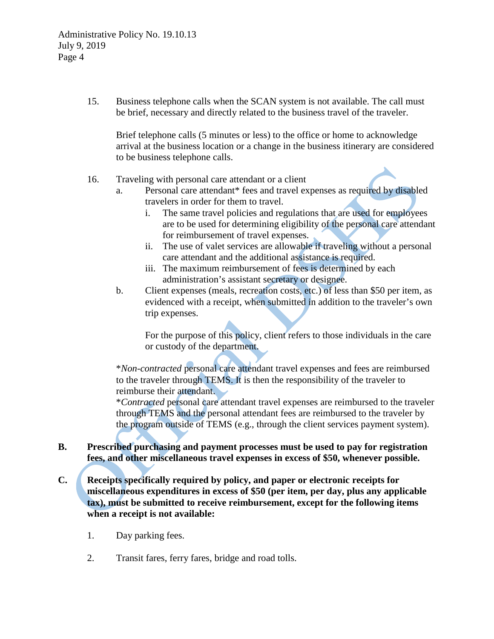15. Business telephone calls when the SCAN system is not available. The call must be brief, necessary and directly related to the business travel of the traveler.

Brief telephone calls (5 minutes or less) to the office or home to acknowledge arrival at the business location or a change in the business itinerary are considered to be business telephone calls.

## 16. Traveling with personal care attendant or a client

- a. Personal care attendant\* fees and travel expenses as required by disabled travelers in order for them to travel.
	- i. The same travel policies and regulations that are used for employees are to be used for determining eligibility of the personal care attendant for reimbursement of travel expenses.
	- ii. The use of valet services are allowable if traveling without a personal care attendant and the additional assistance is required.
	- iii. The maximum reimbursement of fees is determined by each administration's assistant secretary or designee.
- b. Client expenses (meals, recreation costs, etc.) of less than \$50 per item, as evidenced with a receipt, when submitted in addition to the traveler's own trip expenses.

For the purpose of this policy, client refers to those individuals in the care or custody of the department.

\**Non-contracted* personal care attendant travel expenses and fees are reimbursed to the traveler through TEMS. It is then the responsibility of the traveler to reimburse their attendant.

\**Contracted* personal care attendant travel expenses are reimbursed to the traveler through TEMS and the personal attendant fees are reimbursed to the traveler by the program outside of TEMS (e.g., through the client services payment system).

# **B. Prescribed purchasing and payment processes must be used to pay for registration fees, and other miscellaneous travel expenses in excess of \$50, whenever possible.**

- **C. Receipts specifically required by policy, and paper or electronic receipts for miscellaneous expenditures in excess of \$50 (per item, per day, plus any applicable tax), must be submitted to receive reimbursement, except for the following items when a receipt is not available:**
	- 1. Day parking fees.
	- 2. Transit fares, ferry fares, bridge and road tolls.